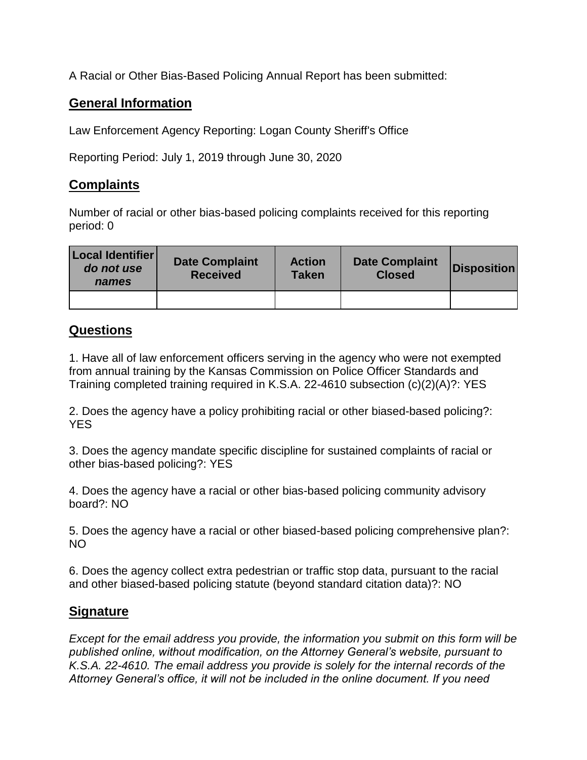A Racial or Other Bias-Based Policing Annual Report has been submitted:

## **General Information**

Law Enforcement Agency Reporting: Logan County Sheriff's Office

Reporting Period: July 1, 2019 through June 30, 2020

## **Complaints**

Number of racial or other bias-based policing complaints received for this reporting period: 0

| Local Identifier<br>do not use<br>names | <b>Date Complaint</b><br><b>Received</b> | <b>Action</b><br><b>Taken</b> | <b>Date Complaint</b><br><b>Closed</b> | <b>Disposition</b> |
|-----------------------------------------|------------------------------------------|-------------------------------|----------------------------------------|--------------------|
|                                         |                                          |                               |                                        |                    |

## **Questions**

1. Have all of law enforcement officers serving in the agency who were not exempted from annual training by the Kansas Commission on Police Officer Standards and Training completed training required in K.S.A. 22-4610 subsection (c)(2)(A)?: YES

2. Does the agency have a policy prohibiting racial or other biased-based policing?: YES

3. Does the agency mandate specific discipline for sustained complaints of racial or other bias-based policing?: YES

4. Does the agency have a racial or other bias-based policing community advisory board?: NO

5. Does the agency have a racial or other biased-based policing comprehensive plan?: NO

6. Does the agency collect extra pedestrian or traffic stop data, pursuant to the racial and other biased-based policing statute (beyond standard citation data)?: NO

## **Signature**

*Except for the email address you provide, the information you submit on this form will be published online, without modification, on the Attorney General's website, pursuant to K.S.A. 22-4610. The email address you provide is solely for the internal records of the Attorney General's office, it will not be included in the online document. If you need*